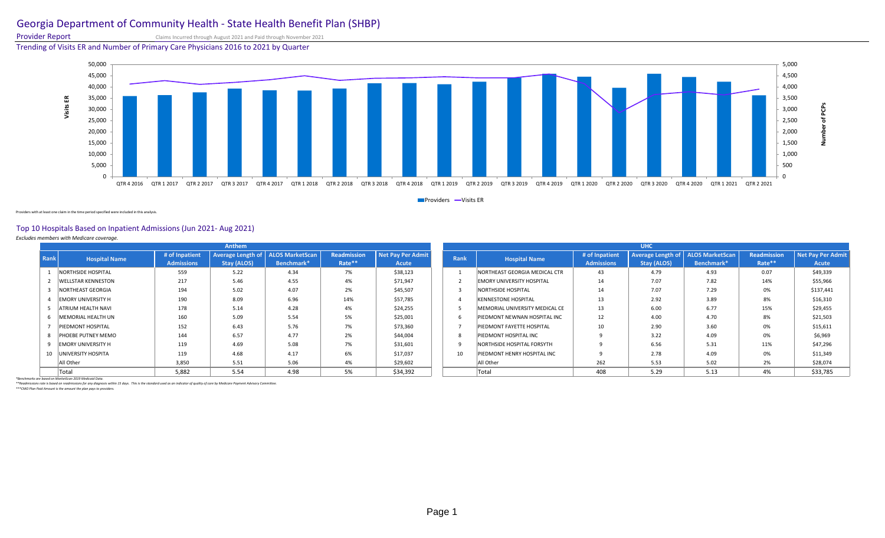# Georgia Department of Community Health - State Health Benefit Plan (SHBP)

Provider Report Claims Incurred through August 2021 and Paid through November 2021

Trending of Visits ER and Number of Primary Care Physicians 2016 to 2021 by Quarter



**Providers -Visits ER** 

Providers with at least one claim in the time period specified were included in this analysis.

## Top 10 Hospitals Based on Inpatient Admissions (Jun 2021- Aug 2021)

*Excludes members with Medicare coverage.* 

| Anthem |                           |                                     |                                                    |            |                       |                                   |      | <b>UHC</b>                       |                                     |             |                                                   |                       |                            |  |  |
|--------|---------------------------|-------------------------------------|----------------------------------------------------|------------|-----------------------|-----------------------------------|------|----------------------------------|-------------------------------------|-------------|---------------------------------------------------|-----------------------|----------------------------|--|--|
| Rank   | <b>Hospital Name</b>      | # of Inpatient<br><b>Admissions</b> | Average Length of   ALOS MarketScan<br>Stay (ALOS) | Benchmark* | Readmission<br>Rate** | <b>Net Pay Per Admit</b><br>Acute | Rank | <b>Hospital Name</b>             | # of Inpatient<br><b>Admissions</b> | Stay (ALOS) | Average Length of   ALOS MarketScan<br>Benchmark* | Readmission<br>Rate** | Net Pay Per Admit<br>Acute |  |  |
|        | NORTHSIDE HOSPITAL        | 559                                 | 5.22                                               | 4.34       | 7%                    | \$38,123                          |      | NORTHEAST GEORGIA MEDICAL CTR    | 43                                  | 4.79        | 4.93                                              | 0.07                  | \$49,339                   |  |  |
|        | <b>WELLSTAR KENNESTON</b> | 217                                 | 5.46                                               | 4.55       | 4%                    | \$71,947                          |      | <b>EMORY UNIVERSITY HOSPITAL</b> | 14                                  | 7.07        | 7.82                                              | 14%                   | \$55,966                   |  |  |
|        | NORTHEAST GEORGIA         | 194                                 | 5.02                                               | 4.07       | 2%                    | \$45,507                          |      | NORTHSIDE HOSPITAL               | 14                                  | 7.07        | 7.29                                              | 0%                    | \$137,441                  |  |  |
|        | <b>EMORY UNIVERSITY H</b> | 190                                 | 8.09                                               | 6.96       | 14%                   | \$57,785                          |      | <b>KENNESTONE HOSPITAL</b>       | 13                                  | 2.92        | 3.89                                              | 8%                    | \$16,310                   |  |  |
|        | 5   ATRIUM HEALTH NAVI    | 178                                 | 5.14                                               | 4.28       | 4%                    | \$24,255                          |      | MEMORIAL UNIVERSITY MEDICAL CE   | 13                                  | 6.00        | 6.77                                              | 15%                   | \$29,455                   |  |  |
|        | 6 MEMORIAL HEALTH UN      | 160                                 | 5.09                                               | 5.54       | 5%                    | \$25,001                          |      | PIEDMONT NEWNAN HOSPITAL INC     | 12                                  | 4.00        | 4.70                                              | 8%                    | \$21,503                   |  |  |
|        | PIEDMONT HOSPITAL         | 152                                 | 6.43                                               | 5.76       | 7%                    | \$73,360                          |      | PIEDMONT FAYETTE HOSPITAL        | 10                                  | 2.90        | 3.60                                              | 0%                    | \$15,611                   |  |  |
|        | 8 PHOEBE PUTNEY MEMO      | 144                                 | 6.57                                               | 4.77       | 2%                    | \$44,004                          |      | PIEDMONT HOSPITAL INC            |                                     | 3.22        | 4.09                                              | 0%                    | \$6,969                    |  |  |
|        | 9 EMORY UNIVERSITY H      | 119                                 | 4.69                                               | 5.08       | 7%                    | \$31,601                          |      | NORTHSIDE HOSPITAL FORSYTH       |                                     | 6.56        | 5.31                                              | 11%                   | \$47,296                   |  |  |
|        | 10 UNIVERSITY HOSPITA     | 119                                 | 4.68                                               | 4.17       | 6%                    | \$17,037                          | 10   | PIEDMONT HENRY HOSPITAL INC      |                                     | 2.78        | 4.09                                              | 0%                    | \$11,349                   |  |  |
|        | All Other                 | 3,850                               | 5.51                                               | 5.06       | 4%                    | \$29,602                          |      | All Other                        | 262                                 | 5.53        | 5.02                                              | 2%                    | \$28,074                   |  |  |
|        | Total                     | 5,882                               | 5.54                                               | 4.98       | 5%                    | \$34,392                          |      | Total                            | 408                                 | 5.29        | 5.13                                              | 4%                    | \$33,785                   |  |  |

\*Benchmarks are based on MarketScan 2019 Medicaid Data.<br>\*\*Readmissions rate is based on readmissions for any diagnosis within 15 days. This is the standard used as an indicator of quality of care by Medicare Payment Adviso

*\*\*\*CMO Plan Paid Amount is the amount the plan pays to providers.*